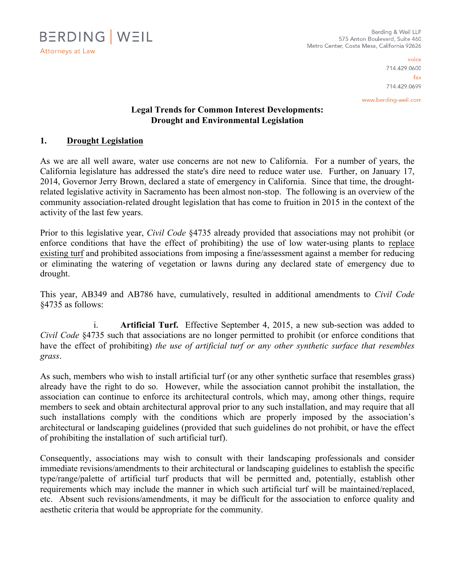

voice 714.429.0600  $f_{AX}$ 714.429.0699

www.berding-weil.com

## **Legal Trends for Common Interest Developments: Drought and Environmental Legislation**

## **1. Drought Legislation**

As we are all well aware, water use concerns are not new to California. For a number of years, the California legislature has addressed the state's dire need to reduce water use. Further, on January 17, 2014, Governor Jerry Brown, declared a state of emergency in California. Since that time, the droughtrelated legislative activity in Sacramento has been almost non-stop. The following is an overview of the community association-related drought legislation that has come to fruition in 2015 in the context of the activity of the last few years.

Prior to this legislative year, *Civil Code* §4735 already provided that associations may not prohibit (or enforce conditions that have the effect of prohibiting) the use of low water-using plants to replace existing turf and prohibited associations from imposing a fine/assessment against a member for reducing or eliminating the watering of vegetation or lawns during any declared state of emergency due to drought.

This year, AB349 and AB786 have, cumulatively, resulted in additional amendments to *Civil Code* §4735 as follows:

i. **Artificial Turf.** Effective September 4, 2015, a new sub-section was added to *Civil Code* §4735 such that associations are no longer permitted to prohibit (or enforce conditions that have the effect of prohibiting) *the use of artificial turf or any other synthetic surface that resembles grass*.

As such, members who wish to install artificial turf (or any other synthetic surface that resembles grass) already have the right to do so. However, while the association cannot prohibit the installation, the association can continue to enforce its architectural controls, which may, among other things, require members to seek and obtain architectural approval prior to any such installation, and may require that all such installations comply with the conditions which are properly imposed by the association's architectural or landscaping guidelines (provided that such guidelines do not prohibit, or have the effect of prohibiting the installation of such artificial turf).

Consequently, associations may wish to consult with their landscaping professionals and consider immediate revisions/amendments to their architectural or landscaping guidelines to establish the specific type/range/palette of artificial turf products that will be permitted and, potentially, establish other requirements which may include the manner in which such artificial turf will be maintained/replaced, etc. Absent such revisions/amendments, it may be difficult for the association to enforce quality and aesthetic criteria that would be appropriate for the community.